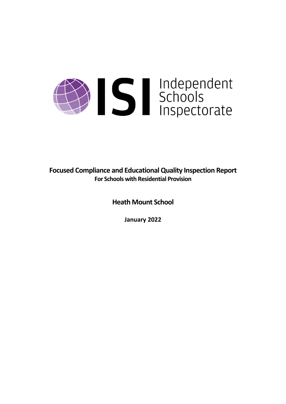# Sandependent<br>Schools<br>Inspectorate

**Focused Compliance and EducationalQuality Inspection Report For Schools with Residential Provision**

**Heath Mount School**

**January 2022**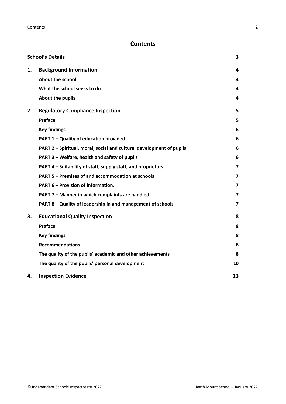# **Contents**

|    | <b>School's Details</b>                                              | 3  |
|----|----------------------------------------------------------------------|----|
| 1. | <b>Background Information</b>                                        | 4  |
|    | <b>About the school</b>                                              | 4  |
|    | What the school seeks to do                                          | 4  |
|    | About the pupils                                                     | 4  |
| 2. | <b>Regulatory Compliance Inspection</b>                              | 5  |
|    | Preface                                                              | 5  |
|    | <b>Key findings</b>                                                  | 6  |
|    | PART 1 - Quality of education provided                               | 6  |
|    | PART 2 - Spiritual, moral, social and cultural development of pupils | 6  |
|    | PART 3 - Welfare, health and safety of pupils                        | 6  |
|    | PART 4 – Suitability of staff, supply staff, and proprietors         | 7  |
|    | PART 5 - Premises of and accommodation at schools                    | 7  |
|    | PART 6 - Provision of information.                                   | 7  |
|    | PART 7 - Manner in which complaints are handled                      | 7  |
|    | PART 8 - Quality of leadership in and management of schools          | 7  |
| 3. | <b>Educational Quality Inspection</b>                                | 8  |
|    | Preface                                                              | 8  |
|    | <b>Key findings</b>                                                  | 8  |
|    | <b>Recommendations</b>                                               | 8  |
|    | The quality of the pupils' academic and other achievements           | 8  |
|    | The quality of the pupils' personal development                      | 10 |
| 4. | <b>Inspection Evidence</b>                                           | 13 |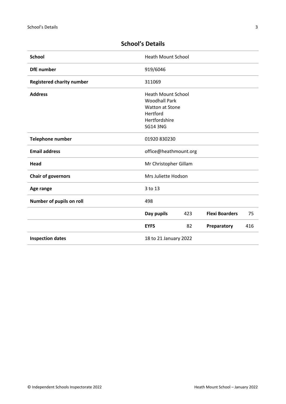| 919/6046                                          |                 |                                                                                                           |     |
|---------------------------------------------------|-----------------|-----------------------------------------------------------------------------------------------------------|-----|
| 311069                                            |                 |                                                                                                           |     |
| <b>Woodhall Park</b><br>Hertford<br>Hertfordshire |                 |                                                                                                           |     |
|                                                   |                 |                                                                                                           |     |
| 01920 830230                                      |                 |                                                                                                           |     |
| office@heathmount.org                             |                 |                                                                                                           |     |
| Head<br>Mr Christopher Gillam                     |                 |                                                                                                           |     |
| Mrs Juliette Hodson                               |                 |                                                                                                           |     |
| 3 to 13                                           |                 |                                                                                                           |     |
| 498                                               |                 |                                                                                                           |     |
| Day pupils                                        | 423             | <b>Flexi Boarders</b>                                                                                     | 75  |
| <b>EYFS</b>                                       | 82              | Preparatory                                                                                               | 416 |
|                                                   |                 |                                                                                                           |     |
|                                                   | <b>SG14 3NG</b> | <b>Heath Mount School</b><br><b>Heath Mount School</b><br><b>Watton at Stone</b><br>18 to 21 January 2022 |     |

# <span id="page-2-0"></span>**School's Details**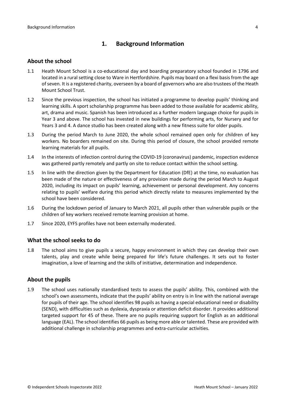## <span id="page-3-0"></span>**1. Background Information**

#### <span id="page-3-1"></span>**About the school**

- 1.1 Heath Mount School is a co-educational day and boarding preparatory school founded in 1796 and located in a rural setting close to Ware in Hertfordshire. Pupils may board on a flexi basis from the age ofseven. It is a registered charity, overseen by a board of governors who are also trustees of the Heath Mount School Trust.
- 1.2 Since the previous inspection, the school has initiated a programme to develop pupils' thinking and learning skills. A sport scholarship programme has been added to those available for academic ability, art, drama and music. Spanish has been introduced as a further modern language choice for pupils in Year 3 and above. The school has invested in new buildings for performing arts, for Nursery and for Years 3 and 4. A dance studio has been created along with a new fitness suite for older pupils.
- 1.3 During the period March to June 2020, the whole school remained open only for children of key workers. No boarders remained on site. During this period of closure, the school provided remote learning materials for all pupils.
- 1.4 In the interests of infection control during the COVID-19 (coronavirus) pandemic, inspection evidence was gathered partly remotely and partly on site to reduce contact within the school setting.
- 1.5 In line with the direction given by the Department for Education (DfE) at the time, no evaluation has been made of the nature or effectiveness of any provision made during the period March to August 2020, including its impact on pupils' learning, achievement or personal development. Any concerns relating to pupils' welfare during this period which directly relate to measures implemented by the school have been considered.
- 1.6 During the lockdown period of January to March 2021, all pupils other than vulnerable pupils or the children of key workers received remote learning provision at home.
- 1.7 Since 2020, EYFS profiles have not been externally moderated.

#### <span id="page-3-2"></span>**What the school seeks to do**

1.8 The school aims to give pupils a secure, happy environment in which they can develop their own talents, play and create while being prepared for life's future challenges. It sets out to foster imagination, a love of learning and the skills of initiative, determination and independence.

#### <span id="page-3-3"></span>**About the pupils**

1.9 The school uses nationally standardised tests to assess the pupils' ability. This, combined with the school's own assessments, indicate that the pupils' ability on entry is in line with the national average for pupils of their age. The school identifies 98 pupils as having a special educational need or disability (SEND), with difficulties such as dyslexia, dyspraxia or attention deficit disorder. It provides additional targeted support for 45 of these. There are no pupils requiring support for English as an additional language (EAL). The school identifies 66 pupils as being more able or talented. These are provided with additional challenge in scholarship programmes and extra-curricular activities.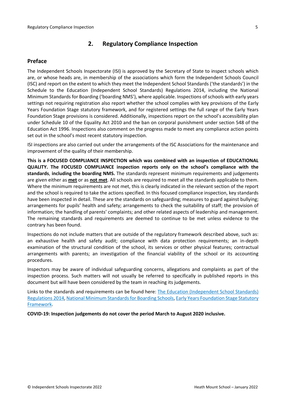## <span id="page-4-0"></span>**2. Regulatory Compliance Inspection**

### <span id="page-4-1"></span>**Preface**

The Independent Schools Inspectorate (ISI) is approved by the Secretary of State to inspect schools which are, or whose heads are, in membership of the associations which form the Independent Schools Council (ISC) and report on the extent to which they meet the Independent School Standards ('the standards') in the Schedule to the Education (Independent School Standards) Regulations 2014, including the National Minimum Standards for Boarding ('boarding NMS'), where applicable. Inspections ofschools with early years settings not requiring registration also report whether the school complies with key provisions of the Early Years Foundation Stage statutory framework, and for registered settings the full range of the Early Years Foundation Stage provisions is considered. Additionally, inspections report on the school's accessibility plan under Schedule 10 of the Equality Act 2010 and the ban on corporal punishment under section 548 of the Education Act 1996. Inspections also comment on the progress made to meet any compliance action points set out in the school's most recent statutory inspection.

ISI inspections are also carried out under the arrangements of the ISC Associations for the maintenance and improvement of the quality of their membership.

**This is a FOCUSED COMPLIANCE INSPECTION which was combined with an inspection of EDUCATIONAL QUALITY. The FOCUSED COMPLIANCE inspection reports only on the school's compliance with the standards**, **including the boarding NMS.** The standards represent minimum requirements and judgements are given either as **met** or as **not met**. All schools are required to meet all the standards applicable to them. Where the minimum requirements are not met, this is clearly indicated in the relevant section of the report and the school is required to take the actions specified. In this focused compliance inspection, key standards have been inspected in detail. These are the standards on safeguarding; measures to guard against bullying; arrangements for pupils' health and safety; arrangements to check the suitability of staff; the provision of information; the handling of parents' complaints; and other related aspects of leadership and management. The remaining standards and requirements are deemed to continue to be met unless evidence to the contrary has been found.

Inspections do not include matters that are outside of the regulatory framework described above, such as: an exhaustive health and safety audit; compliance with data protection requirements; an in-depth examination of the structural condition of the school, its services or other physical features; contractual arrangements with parents; an investigation of the financial viability of the school or its accounting procedures.

Inspectors may be aware of individual safeguarding concerns, allegations and complaints as part of the inspection process. Such matters will not usually be referred to specifically in published reports in this document but will have been considered by the team in reaching its judgements.

Links to the standards and requirements can be found here: The Education [\(Independent](http://www.legislation.gov.uk/uksi/2014/3283/contents/made) School Standards) [Regulations](http://www.legislation.gov.uk/uksi/2014/3283/contents/made) 2014, National Minimum Standards for Boarding Schools, Early Years [Foundation](https://www.gov.uk/government/publications/early-years-foundation-stage-framework--2) Stage Statutory [Framework.](https://www.gov.uk/government/publications/early-years-foundation-stage-framework--2)

**COVID-19: Inspection judgements do not cover the period March to August 2020 inclusive.**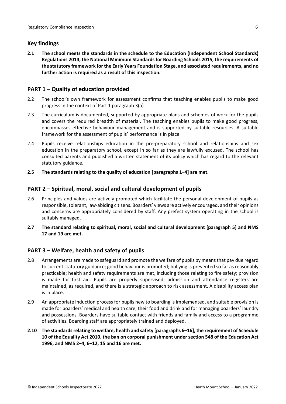## <span id="page-5-0"></span>**Key findings**

**2.1 The school meets the standards in the schedule to the Education (Independent School Standards) Regulations 2014, the National Minimum Standards for Boarding Schools 2015, the requirements of the statutory framework for the Early Years Foundation Stage, and associated requirements, and no further action is required as a result of this inspection.**

## <span id="page-5-1"></span>**PART 1 – Quality of education provided**

- 2.2 The school's own framework for assessment confirms that teaching enables pupils to make good progress in the context of Part 1 paragraph 3(a).
- 2.3 The curriculum is documented, supported by appropriate plans and schemes of work for the pupils and covers the required breadth of material. The teaching enables pupils to make good progress, encompasses effective behaviour management and is supported by suitable resources. A suitable framework for the assessment of pupils' performance is in place.
- 2.4 Pupils receive relationships education in the pre-preparatory school and relationships and sex education in the preparatory school, except in so far as they are lawfully excused. The school has consulted parents and published a written statement of its policy which has regard to the relevant statutory guidance.
- **2.5 The standards relating to the quality of education [paragraphs 1–4] are met.**

## <span id="page-5-2"></span>**PART 2 – Spiritual, moral, social and cultural development of pupils**

- 2.6 Principles and values are actively promoted which facilitate the personal development of pupils as responsible, tolerant, law-abiding citizens. Boarders' views are actively encouraged, and their opinions and concerns are appropriately considered by staff. Any prefect system operating in the school is suitably managed.
- **2.7 The standard relating to spiritual, moral, social and cultural development [paragraph 5] and NMS 17 and 19 are met.**

#### <span id="page-5-3"></span>**PART 3 – Welfare, health and safety of pupils**

- 2.8 Arrangements are made to safeguard and promote the welfare of pupils by means that pay due regard to current statutory guidance; good behaviour is promoted; bullying is prevented so far as reasonably practicable; health and safety requirements are met, including those relating to fire safety; provision is made for first aid. Pupils are properly supervised; admission and attendance registers are maintained, as required, and there is a strategic approach to risk assessment. A disability access plan is in place.
- 2.9 An appropriate induction process for pupils new to boarding is implemented, and suitable provision is made for boarders' medical and health care, their food and drink and for managing boarders' laundry and possessions. Boarders have suitable contact with friends and family and access to a programme of activities. Boarding staff are appropriately trained and deployed.
- **2.10 The standardsrelating to welfare, health and safety [paragraphs 6–16], the requirement of Schedule 10 of the Equality Act 2010, the ban on corporal punishment under section 548 of the Education Act 1996, and NMS 2–4, 6–12, 15 and 16 are met.**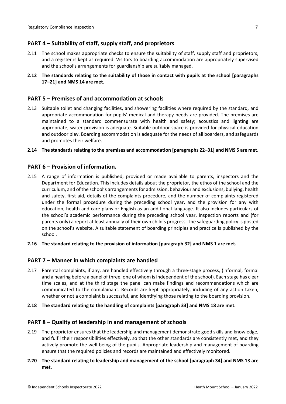## <span id="page-6-0"></span>**PART 4 – Suitability of staff, supply staff, and proprietors**

- 2.11 The school makes appropriate checks to ensure the suitability of staff, supply staff and proprietors, and a register is kept as required. Visitors to boarding accommodation are appropriately supervised and the school's arrangements for guardianship are suitably managed.
- **2.12 The standards relating to the suitability of those in contact with pupils at the school [paragraphs 17–21] and NMS 14 are met.**

#### <span id="page-6-1"></span>**PART 5 – Premises of and accommodation at schools**

2.13 Suitable toilet and changing facilities, and showering facilities where required by the standard, and appropriate accommodation for pupils' medical and therapy needs are provided. The premises are maintained to a standard commensurate with health and safety; acoustics and lighting are appropriate; water provision is adequate. Suitable outdoor space is provided for physical education and outdoor play. Boarding accommodation is adequate for the needs of all boarders, and safeguards and promotes their welfare.

#### **2.14 The standardsrelating to the premises and accommodation [paragraphs 22–31] and NMS 5 are met.**

#### <span id="page-6-2"></span>**PART 6 – Provision of information.**

- 2.15 A range of information is published, provided or made available to parents, inspectors and the Department for Education. This includes details about the proprietor, the ethos of the school and the curriculum, and of the school's arrangementsfor admission, behaviour and exclusions, bullying, health and safety, first aid, details of the complaints procedure, and the number of complaints registered under the formal procedure during the preceding school year, and the provision for any with education, health and care plans or English as an additional language. It also includes particulars of the school's academic performance during the preceding school year, inspection reports and (for parents only) a report at least annually of their own child's progress. The safeguarding policy is posted on the school's website. A suitable statement of boarding principles and practice is published by the school.
- **2.16 The standard relating to the provision of information [paragraph 32] and NMS 1 are met.**

#### <span id="page-6-3"></span>**PART 7 – Manner in which complaints are handled**

- 2.17 Parental complaints, if any, are handled effectively through a three-stage process, (informal, formal and a hearing before a panel of three, one of whom is independent of the school). Each stage has clear time scales, and at the third stage the panel can make findings and recommendations which are communicated to the complainant. Records are kept appropriately, including of any action taken, whether or not a complaint is successful, and identifying those relating to the boarding provision.
- **2.18 The standard relating to the handling of complaints [paragraph 33] and NMS 18 are met.**

#### <span id="page-6-4"></span>**PART 8 – Quality of leadership in and management of schools**

- 2.19 The proprietor ensures that the leadership and management demonstrate good skills and knowledge, and fulfil their responsibilities effectively, so that the other standards are consistently met, and they actively promote the well-being of the pupils. Appropriate leadership and management of boarding ensure that the required policies and records are maintained and effectively monitored.
- **2.20 The standard relating to leadership and management of the school [paragraph 34] and NMS 13 are met.**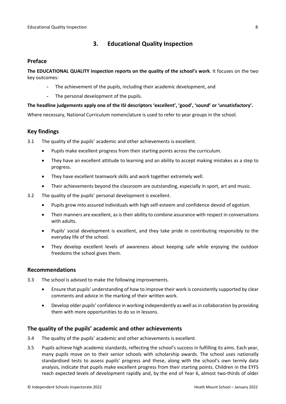## <span id="page-7-0"></span>**3. Educational Quality Inspection**

#### <span id="page-7-1"></span>**Preface**

**The EDUCATIONAL QUALITY inspection reports on the quality of the school's work**. It focuses on the two key outcomes:

- The achievement of the pupils, including their academic development, and
- The personal development of the pupils.

#### **The headline judgements apply one of the ISI descriptors 'excellent', 'good', 'sound' or 'unsatisfactory'.**

Where necessary, National Curriculum nomenclature is used to refer to year groups in the school.

## <span id="page-7-2"></span>**Key findings**

3.1 The quality of the pupils' academic and other achievements is excellent.

- Pupils make excellent progress from their starting points across the curriculum.
- They have an excellent attitude to learning and an ability to accept making mistakes as a step to progress.
- They have excellent teamwork skills and work together extremely well.
- Their achievements beyond the classroom are outstanding, especially in sport, art and music.
- 3.2 The quality of the pupils' personal development is excellent.
	- Pupils grow into assured individuals with high self-esteem and confidence devoid of egotism.
	- Their manners are excellent, as is their ability to combine assurance with respect in conversations with adults.
	- Pupils' social development is excellent, and they take pride in contributing responsibly to the everyday life of the school.
	- They develop excellent levels of awareness about keeping safe while enjoying the outdoor freedoms the school gives them.

#### <span id="page-7-3"></span>**Recommendations**

3.3 The school is advised to make the following improvements.

- Ensure that pupils' understanding of how to improve their work is consistently supported by clear comments and advice in the marking of their written work.
- Develop older pupils' confidence in working independently as well as in collaboration by providing them with more opportunities to do so in lessons.

#### <span id="page-7-4"></span>**The quality of the pupils' academic and other achievements**

- 3.4 The quality of the pupils' academic and other achievements is excellent.
- 3.5 Pupils achieve high academic standards, reflecting the school's success in fulfilling its aims. Each year, many pupils move on to their senior schools with scholarship awards. The school uses nationally standardised tests to assess pupils' progress and these, along with the school's own termly data analysis, indicate that pupils make excellent progress from their starting points. Children in the EYFS reach expected levels of development rapidly and, by the end of Year 6, almost two-thirds of older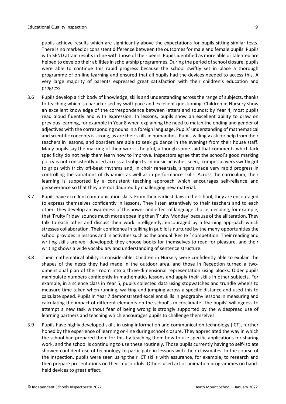pupils achieve results which are significantly above the expectations for pupils sitting similar tests. There is no marked or consistent difference between the outcomes for male and female pupils. Pupils with SEND attain results in line with those of their peers. Pupils identified as more able or talented are helped to develop their abilities in scholarship programmes. During the period of school closure, pupils were able to continue this rapid progress because the school swiftly set in place a thorough programme of on-line learning and ensured that all pupils had the devices needed to access this. A very large majority of parents expressed great satisfaction with their children's education and progress.

- 3.6 Pupils develop a rich body of knowledge, skills and understanding across the range of subjects, thanks to teaching which is characterised by swift pace and excellent questioning. Children in Nursery show an excellent knowledge of the correspondence between letters and sounds; by Year 4, most pupils read aloud fluently and with expression. In lessons, pupils show an excellent ability to draw on previous learning, for example in Year 8 when explaining the need to match the ending and gender of adjectives with the corresponding nouns in a foreign language. Pupils' understanding of mathematical and scientific concepts is strong, as are their skills in humanities. Pupils willingly ask for help from their teachers in lessons, and boarders are able to seek guidance in the evenings from their house staff. Many pupils say the marking of their work is helpful, although some said that comments which lack specificity do not help them learn how to improve. Inspectors agree that the school's good marking policy is not consistently used across all subjects. In music activities seen, trumpet players swiftly got to grips with tricky off-beat rhythms and, in choir rehearsals, singers made very rapid progress in controlling the variations of dynamics as well as in performance skills. Across the curriculum, their learning is supported by a consistent teaching approach which encourages self-reliance and perseverance so that they are not daunted by challenging new material.
- 3.7 Pupils have excellent communication skills. From their earliest daysin the school, they are encouraged to express themselves confidently in lessons. They listen attentively to their teachers and to each other. They develop an awareness of the power and effect of language choice, deciding, for example, that 'Fruity Friday'sounds much more appealing than 'Fruity Monday' because of the alliteration. They talk to each other and discuss their work intelligently, encouraged by a learning approach which stresses collaboration. Their confidence in talking in public is nurtured by the many opportunities the school provides in lessons and in activities such as the annual 'Recite!' competition. Their reading and writing skills are well developed; they choose books for themselves to read for pleasure, and their writing shows a wide vocabulary and understanding of sentence structure.
- 3.8 Their mathematical ability is considerable. Children in Nursery were confidently able to explain the shapes of the nests they had made in the outdoor area, and those in Reception turned a twodimensional plan of their room into a three-dimensional representation using blocks. Older pupils manipulate numbers confidently in mathematics lessons and apply their skills in other subjects. For example, in a science class in Year 5, pupils collected data using stopwatches and trundle wheels to measure time taken when running, walking and jumping across a specific distance and used this to calculate speed. Pupils in Year 7 demonstrated excellent skills in geography lessons in measuring and calculating the impact of different elements on the school's microclimate. The pupils' willingness to attempt a new task without fear of being wrong is strongly supported by the widespread use of learning partners and teaching which encourages pupils to challenge themselves.
- 3.9 Pupils have highly developed skills in using information and communication technology (ICT), further honed by the experience of learning on-line during school closure. They appreciated the way in which the school had prepared them for this by teaching them how to use specific applications for sharing work, and the school is continuing to use these routinely. Those pupils currently having to self-isolate showed confident use of technology to participate in lessons with their classmates. In the course of the inspection, pupils were seen using their ICT skills with assurance, for example, to research and then prepare presentations on their music idols. Others used art or animation programmes on handheld devices to great effect.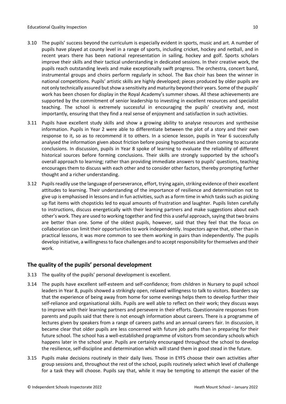- 3.10 The pupils' success beyond the curriculum is especially evident in sports, music and art. A number of pupils have played at county level in a range of sports, including cricket, hockey and netball, and in recent years there has been national representation in sailing, hockey and golf. Sports scholars improve their skills and their tactical understanding in dedicated sessions. In their creative work, the pupils reach outstanding levels and make exceptionally swift progress. The orchestra, concert band, instrumental groups and choirs perform regularly in school. The Bax choir has been the winner in national competitions. Pupils' artistic skills are highly developed; pieces produced by older pupils are not only technically assured but show a sensitivity and maturity beyond their years. Some of the pupils' work has been chosen for display in the Royal Academy's summer shows. All these achievements are supported by the commitment of senior leadership to investing in excellent resources and specialist teaching. The school is extremely successful in encouraging the pupils' creativity and, most importantly, ensuring that they find a real sense of enjoyment and satisfaction in such activities.
- 3.11 Pupils have excellent study skills and show a growing ability to analyse resources and synthesise information. Pupils in Year 2 were able to differentiate between the plot of a story and their own response to it, so as to recommend it to others. In a science lesson, pupils in Year 6 successfully analysed the information given about friction before posing hypotheses and then coming to accurate conclusions. In discussion, pupils in Year 8 spoke of learning to evaluate the reliability of different historical sources before forming conclusions. Their skills are strongly supported by the school's overall approach to learning; rather than providing immediate answers to pupils' questions, teaching encourages them to discuss with each other and to consider other factors, thereby prompting further thought and a richer understanding.
- 3.12 Pupils readily use the language of perseverance, effort, trying again, striking evidence of their excellent attitudes to learning. Their understanding of the importance of resilience and determination not to give up is emphasised in lessons and in fun activities, such as a form time in which tasks such as picking up flat items with chopsticks led to equal amounts of frustration and laughter. Pupils listen carefully to instructions, discuss energetically with their learning partners and make suggestions about each other's work. They are used to working together and find this a useful approach,saying that two brains are better than one. Some of the oldest pupils, however, said that they feel that the focus on collaboration can limit their opportunities to work independently. Inspectors agree that, other than in practical lessons, it was more common to see them working in pairs than independently. The pupils develop initiative, a willingnessto face challenges and to accept responsibility for themselves and their work.

## <span id="page-9-0"></span>**The quality of the pupils' personal development**

- 3.13 The quality of the pupils' personal development is excellent.
- 3.14 The pupils have excellent self-esteem and self-confidence; from children in Nursery to pupil school leaders in Year 8, pupils showed a strikingly open, relaxed willingness to talk to visitors. Boarders say that the experience of being away from home for some evenings helps them to develop further their self-reliance and organisational skills. Pupils are well able to reflect on their work; they discuss ways to improve with their learning partners and persevere in their efforts. Questionnaire responses from parents and pupils said that there is not enough information about careers. There is a programme of lectures given by speakers from a range of careers paths and an annual careers fair. In discussion, it became clear that older pupils are less concerned with future job paths than in preparing for their future school. The school has a well-established programme of visitors from secondary schools which happens later in the school year. Pupils are certainly encouraged throughout the school to develop the resilience, self-discipline and determination which will stand them in good stead in the future.
- 3.15 Pupils make decisions routinely in their daily lives. Those in EYFS choose their own activities after group sessions and, throughout the rest of the school, pupils routinely select which level of challenge for a task they will choose. Pupils say that, while it may be tempting to attempt the easier of the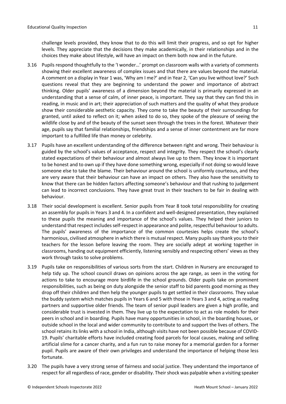challenge levels provided, they know that to do this will limit their progress, and so opt for higher levels. They appreciate that the decisions they make academically, in their relationships and in the choices they make about lifestyle, will have an impact on them both now and in the future.

- 3.16 Pupils respond thoughtfully to the 'I wonder…' prompt on classroom walls with a variety of comments showing their excellent awareness of complex issues and that there are values beyond the material. A comment on a display in Year 1 was, 'Why am I me?' and in Year 2, 'Can you live without love?' Such questions reveal that they are beginning to understand the power and importance of abstract thinking. Older pupils' awareness of a dimension beyond the material is primarily expressed in an understanding that a sense of calm, of inner peace, is important. They say that they can find this in reading, in music and in art; their appreciation of such matters and the quality of what they produce show their considerable aesthetic capacity. They come to take the beauty of their surroundings for granted, until asked to reflect on it; when asked to do so, they spoke of the pleasure of seeing the wildlife close by and of the beauty of the sunset seen through the trees in the forest. Whatever their age, pupils say that familial relationships, friendships and a sense of inner contentment are far more important to a fulfilled life than money or celebrity.
- 3.17 Pupils have an excellent understanding of the difference between right and wrong. Their behaviour is guided by the school's values of acceptance, respect and integrity. They respect the school's clearly stated expectations of their behaviour and almost always live up to them. They know it is important to be honest and to own up if they have done something wrong, especially if not doing so would leave someone else to take the blame. Their behaviour around the school is uniformly courteous, and they are very aware that their behaviour can have an impact on others. They also have the sensitivity to know that there can be hidden factors affecting someone's behaviour and that rushing to judgement can lead to incorrect conclusions. They have great trust in their teachers to be fair in dealing with behaviour.
- 3.18 Their social development is excellent. Senior pupils from Year 8 took total responsibility for creating an assembly for pupils in Years 3 and 4. In a confident and well-designed presentation, they explained to these pupils the meaning and importance of the school's values. They helped their juniors to understand that respect includes self-respect in appearance and polite, respectful behaviour to adults. The pupils' awareness of the importance of the common courtesies helps create the school's harmonious, civilised atmosphere in which there is mutual respect. Many pupils say thank you to their teachers for the lesson before leaving the room. They are socially adept at working together in classrooms, handing out equipment efficiently, listening sensibly and respecting others' views as they work through tasks to solve problems.
- 3.19 Pupils take on responsibilities of various sorts from the start. Children in Nursery are encouraged to help tidy up. The school council draws on opinions across the age range, as seen in the voting for actions to take to encourage more birdlife in the school grounds. Older pupils take on prominent responsibilities, such as being on duty alongside the senior staff to bid parents good morning as they drop off their children and then help the younger pupils to get settled in their classrooms. They value the buddy system which matches pupils in Years 6 and 5 with those in Years 3 and 4, acting as reading partners and supportive older friends. The team of senior pupil leaders are given a high profile, and considerable trust is invested in them. They live up to the expectation to act as role models for their peers in school and in boarding. Pupils have many opportunities in school, in the boarding houses, or outside school in the local and wider community to contribute to and support the lives of others. The school retains its links with a school in India, although visits have not been possible because of COVID-19. Pupils' charitable efforts have included creating food parcels for local causes, making and selling artificial slime for a cancer charity, and a fun run to raise money for a memorial garden for a former pupil. Pupils are aware of their own privileges and understand the importance of helping those less fortunate.
- 3.20 The pupils have a very strong sense of fairness and social justice. They understand the importance of respect for all regardless of race, gender or disability. Their shock was palpable when a visiting speaker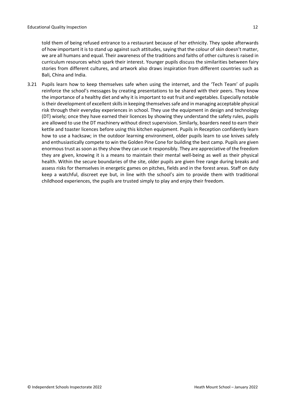told them of being refused entrance to a restaurant because of her ethnicity. They spoke afterwards of how important it is to stand up against such attitudes, saying that the colour of skin doesn't matter, we are all humans and equal. Their awareness of the traditions and faiths of other cultures is raised in curriculum resources which spark their interest. Younger pupils discuss the similarities between fairy stories from different cultures, and artwork also draws inspiration from different countries such as Bali, China and India.

3.21 Pupils learn how to keep themselves safe when using the internet, and the 'Tech Team' of pupils reinforce the school's messages by creating presentations to be shared with their peers. They know the importance of a healthy diet and why it is important to eat fruit and vegetables. Especially notable is their development of excellent skills in keeping themselves safe and in managing acceptable physical risk through their everyday experiences in school. They use the equipment in design and technology (DT) wisely; once they have earned their licences by showing they understand the safety rules, pupils are allowed to use the DT machinery without direct supervision. Similarly, boarders need to earn their kettle and toaster licences before using this kitchen equipment. Pupils in Reception confidently learn how to use a hacksaw; in the outdoor learning environment, older pupils learn to use knives safely and enthusiastically compete to win the Golden Pine Cone for building the best camp. Pupils are given enormoustrust assoon asthey show they can use it responsibly. They are appreciative of the freedom they are given, knowing it is a means to maintain their mental well-being as well as their physical health. Within the secure boundaries of the site, older pupils are given free range during breaks and assess risks for themselves in energetic games on pitches, fields and in the forest areas. Staff on duty keep a watchful, discreet eye but, in line with the school's aim to provide them with traditional childhood experiences, the pupils are trusted simply to play and enjoy their freedom.